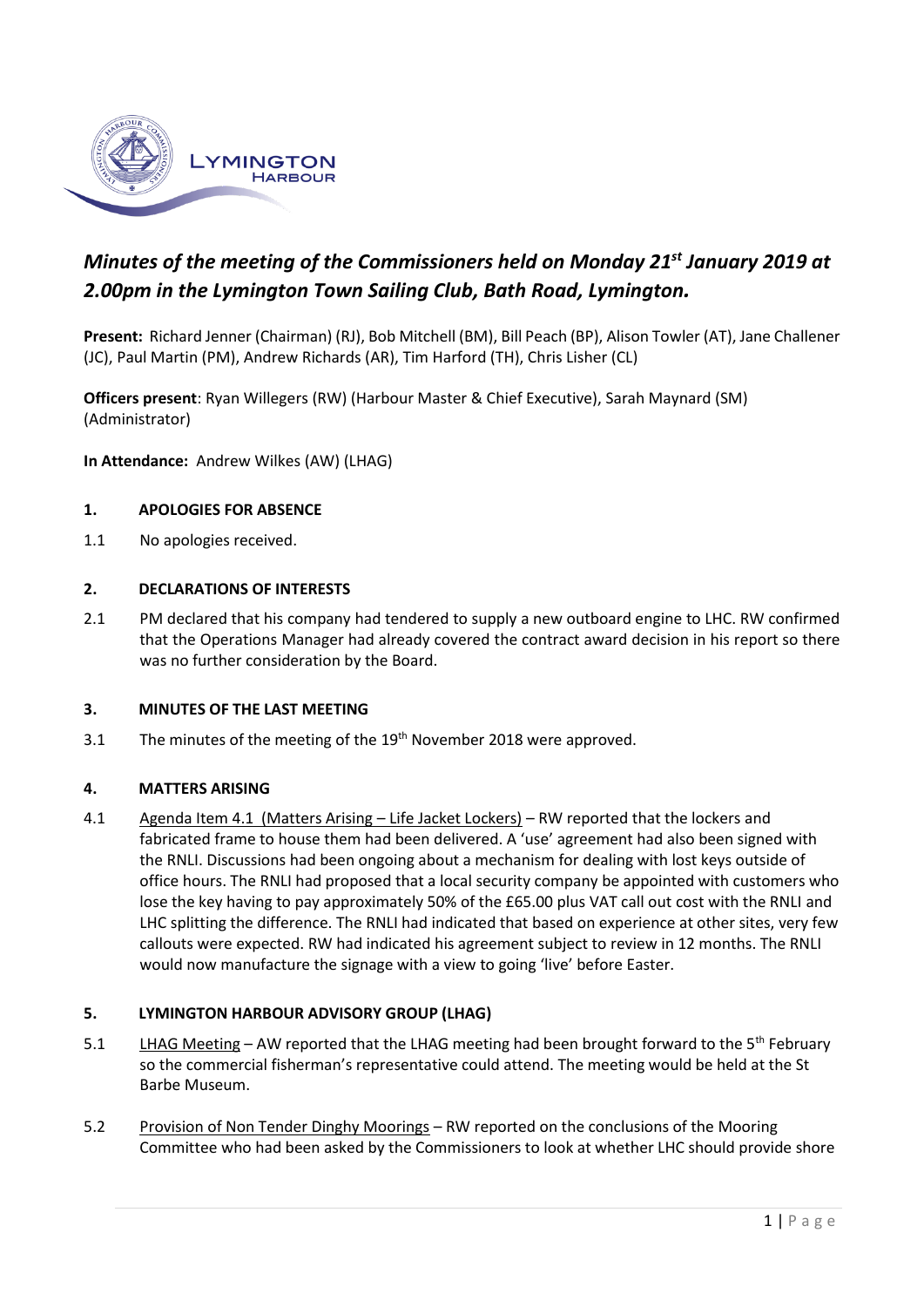

# *Minutes of the meeting of the Commissioners held on Monday 21st January 2019 at 2.00pm in the Lymington Town Sailing Club, Bath Road, Lymington.*

**Present:** Richard Jenner (Chairman) (RJ), Bob Mitchell (BM), Bill Peach (BP), Alison Towler (AT), Jane Challener (JC), Paul Martin (PM), Andrew Richards (AR), Tim Harford (TH), Chris Lisher (CL)

**Officers present**: Ryan Willegers (RW) (Harbour Master & Chief Executive), Sarah Maynard (SM) (Administrator)

**In Attendance:** Andrew Wilkes (AW) (LHAG)

#### **1. APOLOGIES FOR ABSENCE**

1.1 No apologies received.

#### **2. DECLARATIONS OF INTERESTS**

2.1 PM declared that his company had tendered to supply a new outboard engine to LHC. RW confirmed that the Operations Manager had already covered the contract award decision in his report so there was no further consideration by the Board.

#### **3. MINUTES OF THE LAST MEETING**

3.1 The minutes of the meeting of the  $19<sup>th</sup>$  November 2018 were approved.

#### **4. MATTERS ARISING**

4.1 Agenda Item 4.1 (Matters Arising – Life Jacket Lockers) – RW reported that the lockers and fabricated frame to house them had been delivered. A 'use' agreement had also been signed with the RNLI. Discussions had been ongoing about a mechanism for dealing with lost keys outside of office hours. The RNLI had proposed that a local security company be appointed with customers who lose the key having to pay approximately 50% of the £65.00 plus VAT call out cost with the RNLI and LHC splitting the difference. The RNLI had indicated that based on experience at other sites, very few callouts were expected. RW had indicated his agreement subject to review in 12 months. The RNLI would now manufacture the signage with a view to going 'live' before Easter.

#### **5. LYMINGTON HARBOUR ADVISORY GROUP (LHAG)**

- 5.1 LHAG Meeting AW reported that the LHAG meeting had been brought forward to the 5<sup>th</sup> February so the commercial fisherman's representative could attend. The meeting would be held at the St Barbe Museum.
- 5.2 Provision of Non Tender Dinghy Moorings RW reported on the conclusions of the Mooring Committee who had been asked by the Commissioners to look at whether LHC should provide shore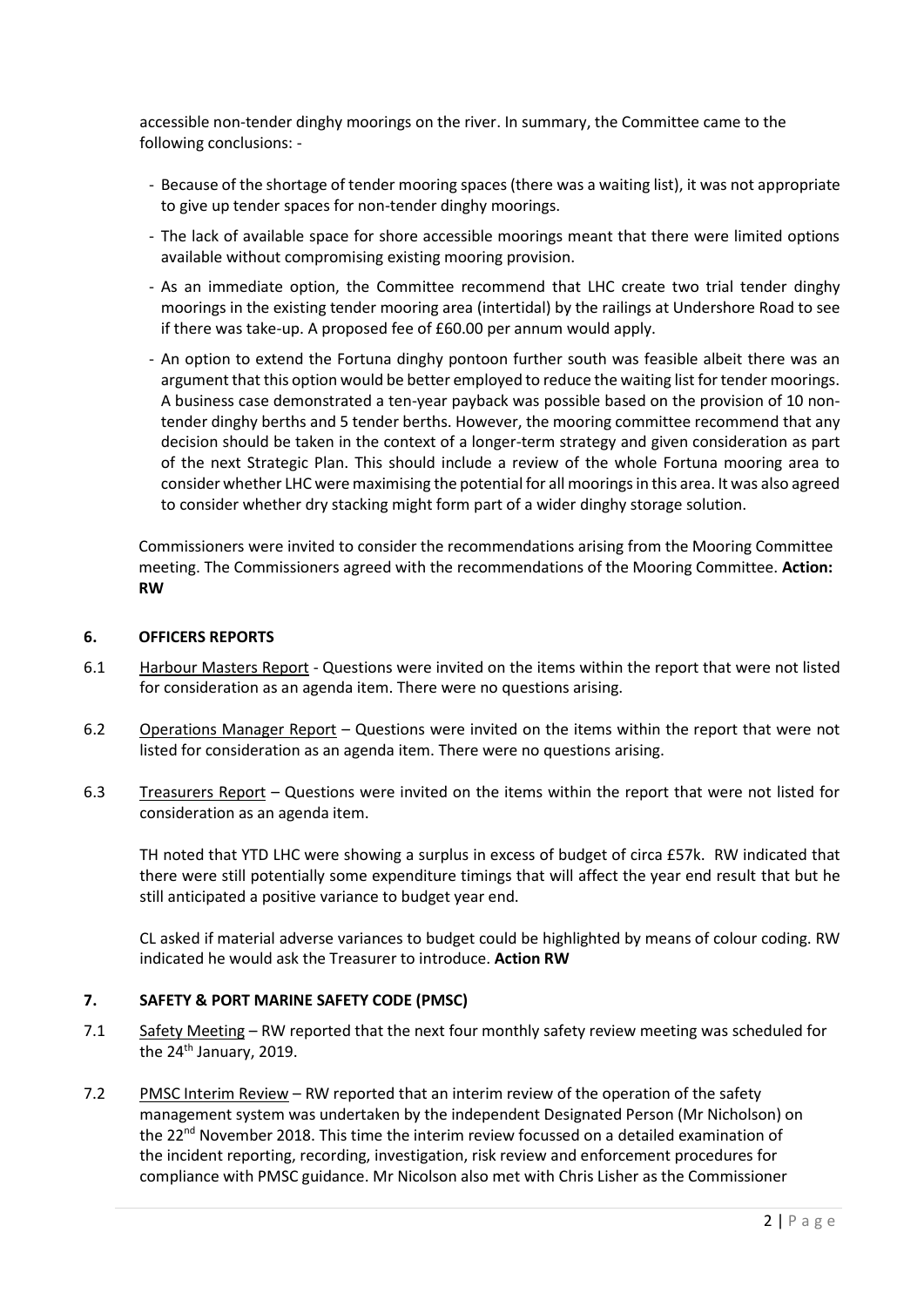accessible non-tender dinghy moorings on the river. In summary, the Committee came to the following conclusions: -

- Because of the shortage of tender mooring spaces (there was a waiting list), it was not appropriate to give up tender spaces for non-tender dinghy moorings.
- The lack of available space for shore accessible moorings meant that there were limited options available without compromising existing mooring provision.
- As an immediate option, the Committee recommend that LHC create two trial tender dinghy moorings in the existing tender mooring area (intertidal) by the railings at Undershore Road to see if there was take-up. A proposed fee of £60.00 per annum would apply.
- An option to extend the Fortuna dinghy pontoon further south was feasible albeit there was an argument that this option would be better employed to reduce the waiting list for tender moorings. A business case demonstrated a ten-year payback was possible based on the provision of 10 nontender dinghy berths and 5 tender berths. However, the mooring committee recommend that any decision should be taken in the context of a longer-term strategy and given consideration as part of the next Strategic Plan. This should include a review of the whole Fortuna mooring area to consider whether LHC were maximising the potential for all moorings in this area. It was also agreed to consider whether dry stacking might form part of a wider dinghy storage solution.

Commissioners were invited to consider the recommendations arising from the Mooring Committee meeting. The Commissioners agreed with the recommendations of the Mooring Committee. **Action: RW**

### **6. OFFICERS REPORTS**

- 6.1 Harbour Masters Report Questions were invited on the items within the report that were not listed for consideration as an agenda item. There were no questions arising.
- 6.2 Operations Manager Report Questions were invited on the items within the report that were not listed for consideration as an agenda item. There were no questions arising.
- 6.3 Treasurers Report Questions were invited on the items within the report that were not listed for consideration as an agenda item.

TH noted that YTD LHC were showing a surplus in excess of budget of circa £57k. RW indicated that there were still potentially some expenditure timings that will affect the year end result that but he still anticipated a positive variance to budget year end.

CL asked if material adverse variances to budget could be highlighted by means of colour coding. RW indicated he would ask the Treasurer to introduce. **Action RW** 

## **7. SAFETY & PORT MARINE SAFETY CODE (PMSC)**

- 7.1 Safety Meeting RW reported that the next four monthly safety review meeting was scheduled for the 24<sup>th</sup> January, 2019.
- 7.2 PMSC Interim Review RW reported that an interim review of the operation of the safety management system was undertaken by the independent Designated Person (Mr Nicholson) on the 22<sup>nd</sup> November 2018. This time the interim review focussed on a detailed examination of the incident reporting, recording, investigation, risk review and enforcement procedures for compliance with PMSC guidance. Mr Nicolson also met with Chris Lisher as the Commissioner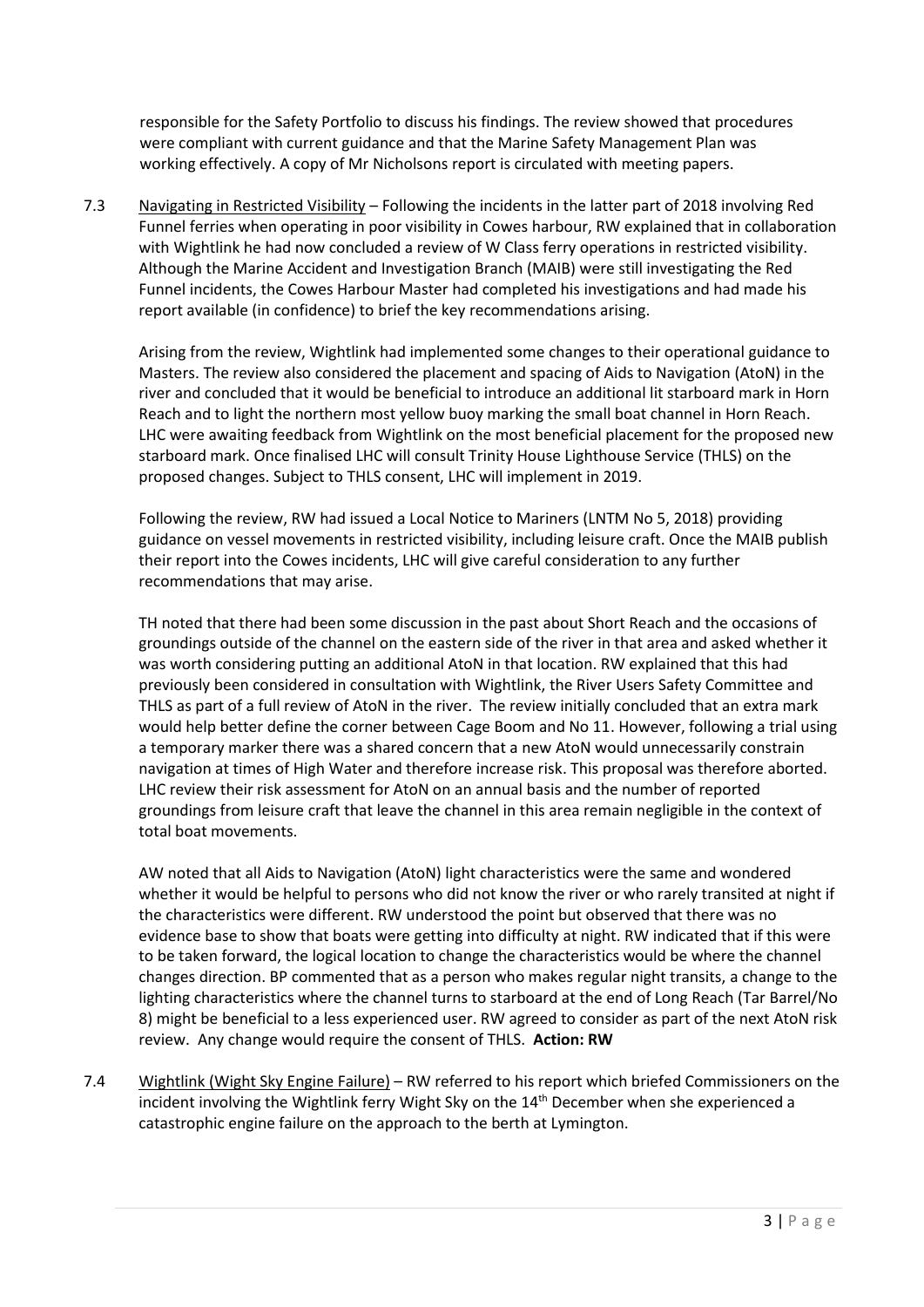responsible for the Safety Portfolio to discuss his findings. The review showed that procedures were compliant with current guidance and that the Marine Safety Management Plan was working effectively. A copy of Mr Nicholsons report is circulated with meeting papers.

7.3 Navigating in Restricted Visibility – Following the incidents in the latter part of 2018 involving Red Funnel ferries when operating in poor visibility in Cowes harbour, RW explained that in collaboration with Wightlink he had now concluded a review of W Class ferry operations in restricted visibility. Although the Marine Accident and Investigation Branch (MAIB) were still investigating the Red Funnel incidents, the Cowes Harbour Master had completed his investigations and had made his report available (in confidence) to brief the key recommendations arising.

Arising from the review, Wightlink had implemented some changes to their operational guidance to Masters. The review also considered the placement and spacing of Aids to Navigation (AtoN) in the river and concluded that it would be beneficial to introduce an additional lit starboard mark in Horn Reach and to light the northern most yellow buoy marking the small boat channel in Horn Reach. LHC were awaiting feedback from Wightlink on the most beneficial placement for the proposed new starboard mark. Once finalised LHC will consult Trinity House Lighthouse Service (THLS) on the proposed changes. Subject to THLS consent, LHC will implement in 2019.

Following the review, RW had issued a Local Notice to Mariners (LNTM No 5, 2018) providing guidance on vessel movements in restricted visibility, including leisure craft. Once the MAIB publish their report into the Cowes incidents, LHC will give careful consideration to any further recommendations that may arise.

TH noted that there had been some discussion in the past about Short Reach and the occasions of groundings outside of the channel on the eastern side of the river in that area and asked whether it was worth considering putting an additional AtoN in that location. RW explained that this had previously been considered in consultation with Wightlink, the River Users Safety Committee and THLS as part of a full review of AtoN in the river. The review initially concluded that an extra mark would help better define the corner between Cage Boom and No 11. However, following a trial using a temporary marker there was a shared concern that a new AtoN would unnecessarily constrain navigation at times of High Water and therefore increase risk. This proposal was therefore aborted. LHC review their risk assessment for AtoN on an annual basis and the number of reported groundings from leisure craft that leave the channel in this area remain negligible in the context of total boat movements.

AW noted that all Aids to Navigation (AtoN) light characteristics were the same and wondered whether it would be helpful to persons who did not know the river or who rarely transited at night if the characteristics were different. RW understood the point but observed that there was no evidence base to show that boats were getting into difficulty at night. RW indicated that if this were to be taken forward, the logical location to change the characteristics would be where the channel changes direction. BP commented that as a person who makes regular night transits, a change to the lighting characteristics where the channel turns to starboard at the end of Long Reach (Tar Barrel/No 8) might be beneficial to a less experienced user. RW agreed to consider as part of the next AtoN risk review. Any change would require the consent of THLS. **Action: RW**

7.4 Wightlink (Wight Sky Engine Failure) – RW referred to his report which briefed Commissioners on the incident involving the Wightlink ferry Wight Sky on the  $14<sup>th</sup>$  December when she experienced a catastrophic engine failure on the approach to the berth at Lymington.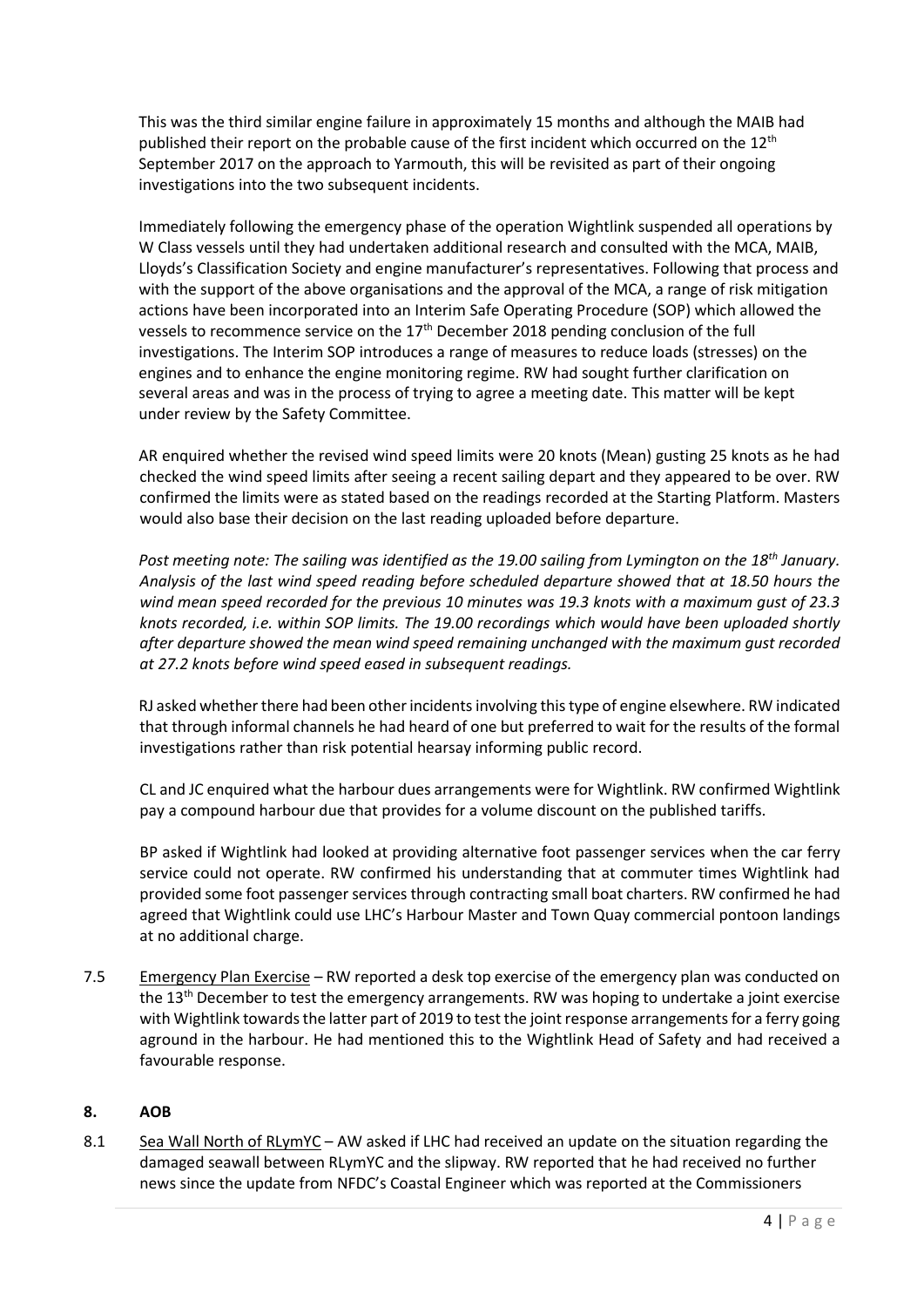This was the third similar engine failure in approximately 15 months and although the MAIB had published their report on the probable cause of the first incident which occurred on the 12<sup>th</sup> September 2017 on the approach to Yarmouth, this will be revisited as part of their ongoing investigations into the two subsequent incidents.

Immediately following the emergency phase of the operation Wightlink suspended all operations by W Class vessels until they had undertaken additional research and consulted with the MCA, MAIB, Lloyds's Classification Society and engine manufacturer's representatives. Following that process and with the support of the above organisations and the approval of the MCA, a range of risk mitigation actions have been incorporated into an Interim Safe Operating Procedure (SOP) which allowed the vessels to recommence service on the 17<sup>th</sup> December 2018 pending conclusion of the full investigations. The Interim SOP introduces a range of measures to reduce loads (stresses) on the engines and to enhance the engine monitoring regime. RW had sought further clarification on several areas and was in the process of trying to agree a meeting date. This matter will be kept under review by the Safety Committee.

AR enquired whether the revised wind speed limits were 20 knots (Mean) gusting 25 knots as he had checked the wind speed limits after seeing a recent sailing depart and they appeared to be over. RW confirmed the limits were as stated based on the readings recorded at the Starting Platform. Masters would also base their decision on the last reading uploaded before departure.

*Post meeting note: The sailing was identified as the 19.00 sailing from Lymington on the 18th January. Analysis of the last wind speed reading before scheduled departure showed that at 18.50 hours the wind mean speed recorded for the previous 10 minutes was 19.3 knots with a maximum gust of 23.3 knots recorded, i.e. within SOP limits. The 19.00 recordings which would have been uploaded shortly after departure showed the mean wind speed remaining unchanged with the maximum gust recorded at 27.2 knots before wind speed eased in subsequent readings.* 

RJ asked whether there had been other incidents involving this type of engine elsewhere. RW indicated that through informal channels he had heard of one but preferred to wait for the results of the formal investigations rather than risk potential hearsay informing public record.

CL and JC enquired what the harbour dues arrangements were for Wightlink. RW confirmed Wightlink pay a compound harbour due that provides for a volume discount on the published tariffs.

BP asked if Wightlink had looked at providing alternative foot passenger services when the car ferry service could not operate. RW confirmed his understanding that at commuter times Wightlink had provided some foot passenger services through contracting small boat charters. RW confirmed he had agreed that Wightlink could use LHC's Harbour Master and Town Quay commercial pontoon landings at no additional charge.

7.5 Emergency Plan Exercise – RW reported a desk top exercise of the emergency plan was conducted on the 13th December to test the emergency arrangements. RW was hoping to undertake a joint exercise with Wightlink towards the latter part of 2019 to test the joint response arrangements for a ferry going aground in the harbour. He had mentioned this to the Wightlink Head of Safety and had received a favourable response.

## **8. AOB**

8.1 Sea Wall North of RLymYC – AW asked if LHC had received an update on the situation regarding the damaged seawall between RLymYC and the slipway. RW reported that he had received no further news since the update from NFDC's Coastal Engineer which was reported at the Commissioners